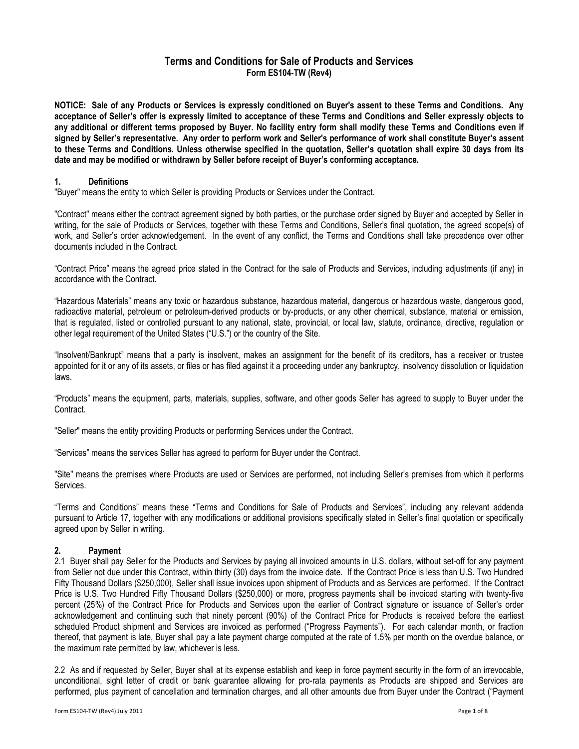# Terms and Conditions for Sale of Products and Services Form ES104-TW (Rev4)

NOTICE: Sale of any Products or Services is expressly conditioned on Buyer's assent to these Terms and Conditions. Any acceptance of Seller's offer is expressly limited to acceptance of these Terms and Conditions and Seller expressly objects to any additional or different terms proposed by Buyer. No facility entry form shall modify these Terms and Conditions even if signed by Seller's representative. Any order to perform work and Seller's performance of work shall constitute Buyer's assent to these Terms and Conditions. Unless otherwise specified in the quotation, Seller's quotation shall expire 30 days from its date and may be modified or withdrawn by Seller before receipt of Buyer's conforming acceptance.

#### 1. Definitions

"Buyer" means the entity to which Seller is providing Products or Services under the Contract.

"Contract" means either the contract agreement signed by both parties, or the purchase order signed by Buyer and accepted by Seller in writing, for the sale of Products or Services, together with these Terms and Conditions, Seller's final quotation, the agreed scope(s) of work, and Seller's order acknowledgement. In the event of any conflict, the Terms and Conditions shall take precedence over other documents included in the Contract.

"Contract Price" means the agreed price stated in the Contract for the sale of Products and Services, including adjustments (if any) in accordance with the Contract.

"Hazardous Materials" means any toxic or hazardous substance, hazardous material, dangerous or hazardous waste, dangerous good, radioactive material, petroleum or petroleum-derived products or by-products, or any other chemical, substance, material or emission, that is regulated, listed or controlled pursuant to any national, state, provincial, or local law, statute, ordinance, directive, regulation or other legal requirement of the United States ("U.S.") or the country of the Site.

"Insolvent/Bankrupt" means that a party is insolvent, makes an assignment for the benefit of its creditors, has a receiver or trustee appointed for it or any of its assets, or files or has filed against it a proceeding under any bankruptcy, insolvency dissolution or liquidation laws.

"Products" means the equipment, parts, materials, supplies, software, and other goods Seller has agreed to supply to Buyer under the Contract.

"Seller" means the entity providing Products or performing Services under the Contract.

"Services" means the services Seller has agreed to perform for Buyer under the Contract.

"Site" means the premises where Products are used or Services are performed, not including Seller's premises from which it performs Services.

"Terms and Conditions" means these "Terms and Conditions for Sale of Products and Services", including any relevant addenda pursuant to Article 17, together with any modifications or additional provisions specifically stated in Seller's final quotation or specifically agreed upon by Seller in writing.

#### 2. Payment

2.1 Buyer shall pay Seller for the Products and Services by paying all invoiced amounts in U.S. dollars, without set-off for any payment from Seller not due under this Contract, within thirty (30) days from the invoice date. If the Contract Price is less than U.S. Two Hundred Fifty Thousand Dollars (\$250,000), Seller shall issue invoices upon shipment of Products and as Services are performed. If the Contract Price is U.S. Two Hundred Fifty Thousand Dollars (\$250,000) or more, progress payments shall be invoiced starting with twenty-five percent (25%) of the Contract Price for Products and Services upon the earlier of Contract signature or issuance of Seller's order acknowledgement and continuing such that ninety percent (90%) of the Contract Price for Products is received before the earliest scheduled Product shipment and Services are invoiced as performed ("Progress Payments"). For each calendar month, or fraction thereof, that payment is late, Buyer shall pay a late payment charge computed at the rate of 1.5% per month on the overdue balance, or the maximum rate permitted by law, whichever is less.

2.2 As and if requested by Seller, Buyer shall at its expense establish and keep in force payment security in the form of an irrevocable, unconditional, sight letter of credit or bank guarantee allowing for pro-rata payments as Products are shipped and Services are performed, plus payment of cancellation and termination charges, and all other amounts due from Buyer under the Contract ("Payment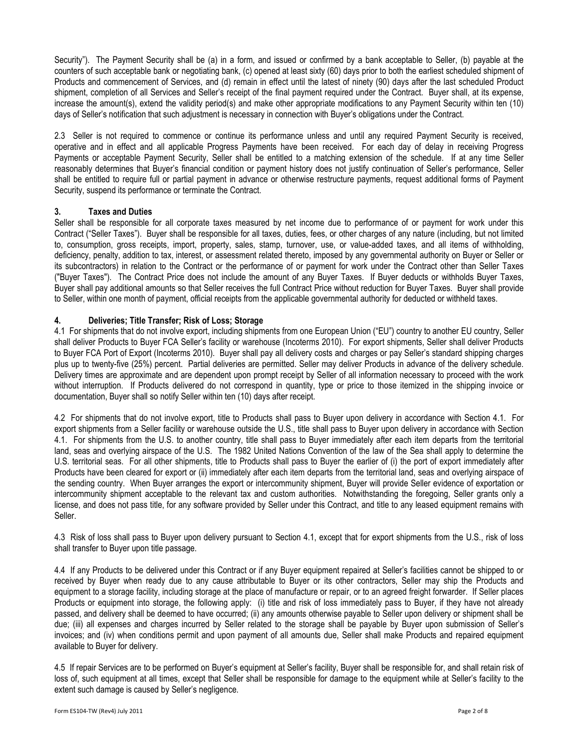Security"). The Payment Security shall be (a) in a form, and issued or confirmed by a bank acceptable to Seller, (b) payable at the counters of such acceptable bank or negotiating bank, (c) opened at least sixty (60) days prior to both the earliest scheduled shipment of Products and commencement of Services, and (d) remain in effect until the latest of ninety (90) days after the last scheduled Product shipment, completion of all Services and Seller's receipt of the final payment required under the Contract. Buyer shall, at its expense, increase the amount(s), extend the validity period(s) and make other appropriate modifications to any Payment Security within ten (10) days of Seller's notification that such adjustment is necessary in connection with Buyer's obligations under the Contract.

2.3 Seller is not required to commence or continue its performance unless and until any required Payment Security is received, operative and in effect and all applicable Progress Payments have been received. For each day of delay in receiving Progress Payments or acceptable Payment Security, Seller shall be entitled to a matching extension of the schedule. If at any time Seller reasonably determines that Buyer's financial condition or payment history does not justify continuation of Seller's performance, Seller shall be entitled to require full or partial payment in advance or otherwise restructure payments, request additional forms of Payment Security, suspend its performance or terminate the Contract.

## 3. Taxes and Duties

Seller shall be responsible for all corporate taxes measured by net income due to performance of or payment for work under this Contract ("Seller Taxes"). Buyer shall be responsible for all taxes, duties, fees, or other charges of any nature (including, but not limited to, consumption, gross receipts, import, property, sales, stamp, turnover, use, or value-added taxes, and all items of withholding, deficiency, penalty, addition to tax, interest, or assessment related thereto, imposed by any governmental authority on Buyer or Seller or its subcontractors) in relation to the Contract or the performance of or payment for work under the Contract other than Seller Taxes ("Buyer Taxes"). The Contract Price does not include the amount of any Buyer Taxes. If Buyer deducts or withholds Buyer Taxes, Buyer shall pay additional amounts so that Seller receives the full Contract Price without reduction for Buyer Taxes. Buyer shall provide to Seller, within one month of payment, official receipts from the applicable governmental authority for deducted or withheld taxes.

## 4. Deliveries; Title Transfer; Risk of Loss; Storage

4.1 For shipments that do not involve export, including shipments from one European Union ("EU") country to another EU country, Seller shall deliver Products to Buyer FCA Seller's facility or warehouse (Incoterms 2010). For export shipments, Seller shall deliver Products to Buyer FCA Port of Export (Incoterms 2010). Buyer shall pay all delivery costs and charges or pay Seller's standard shipping charges plus up to twenty-five (25%) percent. Partial deliveries are permitted. Seller may deliver Products in advance of the delivery schedule. Delivery times are approximate and are dependent upon prompt receipt by Seller of all information necessary to proceed with the work without interruption. If Products delivered do not correspond in quantity, type or price to those itemized in the shipping invoice or documentation, Buyer shall so notify Seller within ten (10) days after receipt.

4.2 For shipments that do not involve export, title to Products shall pass to Buyer upon delivery in accordance with Section 4.1. For export shipments from a Seller facility or warehouse outside the U.S., title shall pass to Buyer upon delivery in accordance with Section 4.1. For shipments from the U.S. to another country, title shall pass to Buyer immediately after each item departs from the territorial land, seas and overlying airspace of the U.S. The 1982 United Nations Convention of the law of the Sea shall apply to determine the U.S. territorial seas. For all other shipments, title to Products shall pass to Buyer the earlier of (i) the port of export immediately after Products have been cleared for export or (ii) immediately after each item departs from the territorial land, seas and overlying airspace of the sending country. When Buyer arranges the export or intercommunity shipment, Buyer will provide Seller evidence of exportation or intercommunity shipment acceptable to the relevant tax and custom authorities. Notwithstanding the foregoing, Seller grants only a license, and does not pass title, for any software provided by Seller under this Contract, and title to any leased equipment remains with Seller.

4.3 Risk of loss shall pass to Buyer upon delivery pursuant to Section 4.1, except that for export shipments from the U.S., risk of loss shall transfer to Buyer upon title passage.

4.4 If any Products to be delivered under this Contract or if any Buyer equipment repaired at Seller's facilities cannot be shipped to or received by Buyer when ready due to any cause attributable to Buyer or its other contractors, Seller may ship the Products and equipment to a storage facility, including storage at the place of manufacture or repair, or to an agreed freight forwarder. If Seller places Products or equipment into storage, the following apply: (i) title and risk of loss immediately pass to Buyer, if they have not already passed, and delivery shall be deemed to have occurred; (ii) any amounts otherwise payable to Seller upon delivery or shipment shall be due; (iii) all expenses and charges incurred by Seller related to the storage shall be payable by Buyer upon submission of Seller's invoices; and (iv) when conditions permit and upon payment of all amounts due, Seller shall make Products and repaired equipment available to Buyer for delivery.

4.5 If repair Services are to be performed on Buyer's equipment at Seller's facility, Buyer shall be responsible for, and shall retain risk of loss of, such equipment at all times, except that Seller shall be responsible for damage to the equipment while at Seller's facility to the extent such damage is caused by Seller's negligence.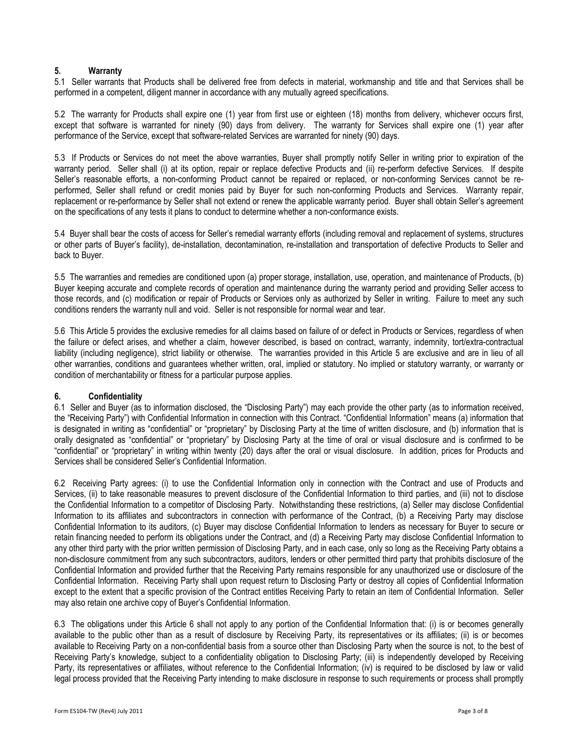#### 5. Warranty

5.1 Seller warrants that Products shall be delivered free from defects in material, workmanship and title and that Services shall be performed in a competent, diligent manner in accordance with any mutually agreed specifications.

5.2 The warranty for Products shall expire one (1) year from first use or eighteen (18) months from delivery, whichever occurs first, except that software is warranted for ninety (90) days from delivery. The warranty for Services shall expire one (1) year after performance of the Service, except that software-related Services are warranted for ninety (90) days.

5.3 If Products or Services do not meet the above warranties, Buyer shall promptly notify Seller in writing prior to expiration of the warranty period. Seller shall (i) at its option, repair or replace defective Products and (ii) re-perform defective Services. If despite Seller's reasonable efforts, a non-conforming Product cannot be repaired or replaced, or non-conforming Services cannot be reperformed, Seller shall refund or credit monies paid by Buyer for such non-conforming Products and Services. Warranty repair, replacement or re-performance by Seller shall not extend or renew the applicable warranty period. Buyer shall obtain Seller's agreement on the specifications of any tests it plans to conduct to determine whether a non-conformance exists.

5.4 Buyer shall bear the costs of access for Seller's remedial warranty efforts (including removal and replacement of systems, structures or other parts of Buyer's facility), de-installation, decontamination, re-installation and transportation of defective Products to Seller and back to Buyer.

5.5 The warranties and remedies are conditioned upon (a) proper storage, installation, use, operation, and maintenance of Products, (b) Buyer keeping accurate and complete records of operation and maintenance during the warranty period and providing Seller access to those records, and (c) modification or repair of Products or Services only as authorized by Seller in writing. Failure to meet any such conditions renders the warranty null and void. Seller is not responsible for normal wear and tear.

5.6 This Article 5 provides the exclusive remedies for all claims based on failure of or defect in Products or Services, regardless of when the failure or defect arises, and whether a claim, however described, is based on contract, warranty, indemnity, tort/extra-contractual liability (including negligence), strict liability or otherwise. The warranties provided in this Article 5 are exclusive and are in lieu of all other warranties, conditions and guarantees whether written, oral, implied or statutory. No implied or statutory warranty, or warranty or condition of merchantability or fitness for a particular purpose applies.

#### 6. Confidentiality

6.1 Seller and Buyer (as to information disclosed, the "Disclosing Party") may each provide the other party (as to information received, the "Receiving Party") with Confidential Information in connection with this Contract. "Confidential Information" means (a) information that is designated in writing as "confidential" or "proprietary" by Disclosing Party at the time of written disclosure, and (b) information that is orally designated as "confidential" or "proprietary" by Disclosing Party at the time of oral or visual disclosure and is confirmed to be "confidential" or "proprietary" in writing within twenty (20) days after the oral or visual disclosure. In addition, prices for Products and Services shall be considered Seller's Confidential Information.

6.2 Receiving Party agrees: (i) to use the Confidential Information only in connection with the Contract and use of Products and Services, (ii) to take reasonable measures to prevent disclosure of the Confidential Information to third parties, and (iii) not to disclose the Confidential Information to a competitor of Disclosing Party. Notwithstanding these restrictions, (a) Seller may disclose Confidential Information to its affiliates and subcontractors in connection with performance of the Contract, (b) a Receiving Party may disclose Confidential Information to its auditors, (c) Buyer may disclose Confidential Information to lenders as necessary for Buyer to secure or retain financing needed to perform its obligations under the Contract, and (d) a Receiving Party may disclose Confidential Information to any other third party with the prior written permission of Disclosing Party, and in each case, only so long as the Receiving Party obtains a non-disclosure commitment from any such subcontractors, auditors, lenders or other permitted third party that prohibits disclosure of the Confidential Information and provided further that the Receiving Party remains responsible for any unauthorized use or disclosure of the Confidential Information. Receiving Party shall upon request return to Disclosing Party or destroy all copies of Confidential Information except to the extent that a specific provision of the Contract entitles Receiving Party to retain an item of Confidential Information. Seller may also retain one archive copy of Buyer's Confidential Information.

6.3 The obligations under this Article 6 shall not apply to any portion of the Confidential Information that: (i) is or becomes generally available to the public other than as a result of disclosure by Receiving Party, its representatives or its affiliates; (ii) is or becomes available to Receiving Party on a non-confidential basis from a source other than Disclosing Party when the source is not, to the best of Receiving Party's knowledge, subject to a confidentiality obligation to Disclosing Party; (iii) is independently developed by Receiving Party, its representatives or affiliates, without reference to the Confidential Information; (iv) is required to be disclosed by law or valid legal process provided that the Receiving Party intending to make disclosure in response to such requirements or process shall promptly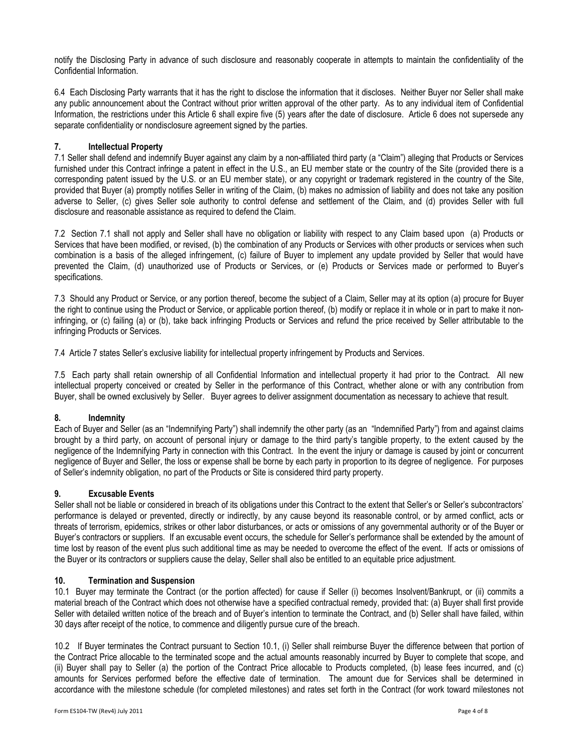notify the Disclosing Party in advance of such disclosure and reasonably cooperate in attempts to maintain the confidentiality of the Confidential Information.

6.4 Each Disclosing Party warrants that it has the right to disclose the information that it discloses. Neither Buyer nor Seller shall make any public announcement about the Contract without prior written approval of the other party. As to any individual item of Confidential Information, the restrictions under this Article 6 shall expire five (5) years after the date of disclosure. Article 6 does not supersede any separate confidentiality or nondisclosure agreement signed by the parties.

## 7. Intellectual Property

7.1 Seller shall defend and indemnify Buyer against any claim by a non-affiliated third party (a "Claim") alleging that Products or Services furnished under this Contract infringe a patent in effect in the U.S., an EU member state or the country of the Site (provided there is a corresponding patent issued by the U.S. or an EU member state), or any copyright or trademark registered in the country of the Site, provided that Buyer (a) promptly notifies Seller in writing of the Claim, (b) makes no admission of liability and does not take any position adverse to Seller, (c) gives Seller sole authority to control defense and settlement of the Claim, and (d) provides Seller with full disclosure and reasonable assistance as required to defend the Claim.

7.2 Section 7.1 shall not apply and Seller shall have no obligation or liability with respect to any Claim based upon (a) Products or Services that have been modified, or revised, (b) the combination of any Products or Services with other products or services when such combination is a basis of the alleged infringement, (c) failure of Buyer to implement any update provided by Seller that would have prevented the Claim, (d) unauthorized use of Products or Services, or (e) Products or Services made or performed to Buyer's specifications.

7.3 Should any Product or Service, or any portion thereof, become the subject of a Claim, Seller may at its option (a) procure for Buyer the right to continue using the Product or Service, or applicable portion thereof, (b) modify or replace it in whole or in part to make it noninfringing, or (c) failing (a) or (b), take back infringing Products or Services and refund the price received by Seller attributable to the infringing Products or Services.

7.4 Article 7 states Seller's exclusive liability for intellectual property infringement by Products and Services.

7.5 Each party shall retain ownership of all Confidential Information and intellectual property it had prior to the Contract. All new intellectual property conceived or created by Seller in the performance of this Contract, whether alone or with any contribution from Buyer, shall be owned exclusively by Seller. Buyer agrees to deliver assignment documentation as necessary to achieve that result.

#### 8. Indemnity

Each of Buyer and Seller (as an "Indemnifying Party") shall indemnify the other party (as an "Indemnified Party") from and against claims brought by a third party, on account of personal injury or damage to the third party's tangible property, to the extent caused by the negligence of the Indemnifying Party in connection with this Contract. In the event the injury or damage is caused by joint or concurrent negligence of Buyer and Seller, the loss or expense shall be borne by each party in proportion to its degree of negligence. For purposes of Seller's indemnity obligation, no part of the Products or Site is considered third party property.

#### 9. Excusable Events

Seller shall not be liable or considered in breach of its obligations under this Contract to the extent that Seller's or Seller's subcontractors' performance is delayed or prevented, directly or indirectly, by any cause beyond its reasonable control, or by armed conflict, acts or threats of terrorism, epidemics, strikes or other labor disturbances, or acts or omissions of any governmental authority or of the Buyer or Buyer's contractors or suppliers. If an excusable event occurs, the schedule for Seller's performance shall be extended by the amount of time lost by reason of the event plus such additional time as may be needed to overcome the effect of the event. If acts or omissions of the Buyer or its contractors or suppliers cause the delay, Seller shall also be entitled to an equitable price adjustment.

#### 10. Termination and Suspension

10.1 Buyer may terminate the Contract (or the portion affected) for cause if Seller (i) becomes Insolvent/Bankrupt, or (ii) commits a material breach of the Contract which does not otherwise have a specified contractual remedy, provided that: (a) Buyer shall first provide Seller with detailed written notice of the breach and of Buyer's intention to terminate the Contract, and (b) Seller shall have failed, within 30 days after receipt of the notice, to commence and diligently pursue cure of the breach.

10.2 If Buyer terminates the Contract pursuant to Section 10.1, (i) Seller shall reimburse Buyer the difference between that portion of the Contract Price allocable to the terminated scope and the actual amounts reasonably incurred by Buyer to complete that scope, and (ii) Buyer shall pay to Seller (a) the portion of the Contract Price allocable to Products completed, (b) lease fees incurred, and (c) amounts for Services performed before the effective date of termination. The amount due for Services shall be determined in accordance with the milestone schedule (for completed milestones) and rates set forth in the Contract (for work toward milestones not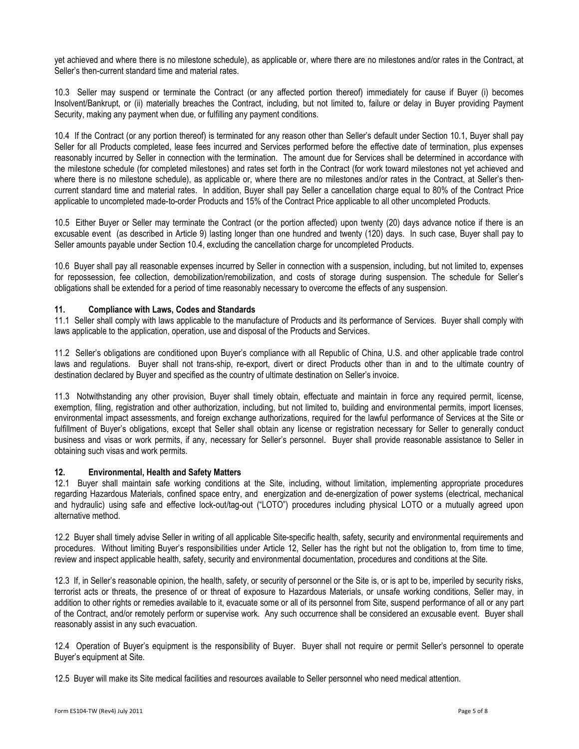yet achieved and where there is no milestone schedule), as applicable or, where there are no milestones and/or rates in the Contract, at Seller's then-current standard time and material rates.

10.3 Seller may suspend or terminate the Contract (or any affected portion thereof) immediately for cause if Buyer (i) becomes Insolvent/Bankrupt, or (ii) materially breaches the Contract, including, but not limited to, failure or delay in Buyer providing Payment Security, making any payment when due, or fulfilling any payment conditions.

10.4 If the Contract (or any portion thereof) is terminated for any reason other than Seller's default under Section 10.1, Buyer shall pay Seller for all Products completed, lease fees incurred and Services performed before the effective date of termination, plus expenses reasonably incurred by Seller in connection with the termination. The amount due for Services shall be determined in accordance with the milestone schedule (for completed milestones) and rates set forth in the Contract (for work toward milestones not yet achieved and where there is no milestone schedule), as applicable or, where there are no milestones and/or rates in the Contract, at Seller's thencurrent standard time and material rates. In addition, Buyer shall pay Seller a cancellation charge equal to 80% of the Contract Price applicable to uncompleted made-to-order Products and 15% of the Contract Price applicable to all other uncompleted Products.

10.5 Either Buyer or Seller may terminate the Contract (or the portion affected) upon twenty (20) days advance notice if there is an excusable event (as described in Article 9) lasting longer than one hundred and twenty (120) days. In such case, Buyer shall pay to Seller amounts payable under Section 10.4, excluding the cancellation charge for uncompleted Products.

10.6 Buyer shall pay all reasonable expenses incurred by Seller in connection with a suspension, including, but not limited to, expenses for repossession, fee collection, demobilization/remobilization, and costs of storage during suspension. The schedule for Seller's obligations shall be extended for a period of time reasonably necessary to overcome the effects of any suspension.

#### 11. Compliance with Laws, Codes and Standards

11.1 Seller shall comply with laws applicable to the manufacture of Products and its performance of Services. Buyer shall comply with laws applicable to the application, operation, use and disposal of the Products and Services.

11.2 Seller's obligations are conditioned upon Buyer's compliance with all Republic of China, U.S. and other applicable trade control laws and regulations. Buyer shall not trans-ship, re-export, divert or direct Products other than in and to the ultimate country of destination declared by Buyer and specified as the country of ultimate destination on Seller's invoice.

11.3 Notwithstanding any other provision, Buyer shall timely obtain, effectuate and maintain in force any required permit, license, exemption, filing, registration and other authorization, including, but not limited to, building and environmental permits, import licenses, environmental impact assessments, and foreign exchange authorizations, required for the lawful performance of Services at the Site or fulfillment of Buyer's obligations, except that Seller shall obtain any license or registration necessary for Seller to generally conduct business and visas or work permits, if any, necessary for Seller's personnel. Buyer shall provide reasonable assistance to Seller in obtaining such visas and work permits.

#### 12. Environmental, Health and Safety Matters

12.1 Buyer shall maintain safe working conditions at the Site, including, without limitation, implementing appropriate procedures regarding Hazardous Materials, confined space entry, and energization and de-energization of power systems (electrical, mechanical and hydraulic) using safe and effective lock-out/tag-out ("LOTO") procedures including physical LOTO or a mutually agreed upon alternative method.

12.2 Buyer shall timely advise Seller in writing of all applicable Site-specific health, safety, security and environmental requirements and procedures. Without limiting Buyer's responsibilities under Article 12, Seller has the right but not the obligation to, from time to time, review and inspect applicable health, safety, security and environmental documentation, procedures and conditions at the Site.

12.3 If, in Seller's reasonable opinion, the health, safety, or security of personnel or the Site is, or is apt to be, imperiled by security risks, terrorist acts or threats, the presence of or threat of exposure to Hazardous Materials, or unsafe working conditions, Seller may, in addition to other rights or remedies available to it, evacuate some or all of its personnel from Site, suspend performance of all or any part of the Contract, and/or remotely perform or supervise work. Any such occurrence shall be considered an excusable event. Buyer shall reasonably assist in any such evacuation.

12.4 Operation of Buyer's equipment is the responsibility of Buyer. Buyer shall not require or permit Seller's personnel to operate Buyer's equipment at Site.

12.5 Buyer will make its Site medical facilities and resources available to Seller personnel who need medical attention.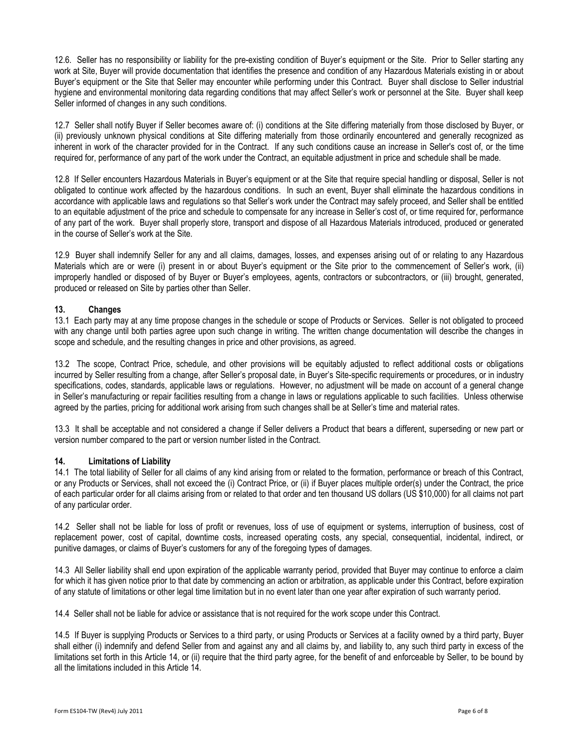12.6. Seller has no responsibility or liability for the pre-existing condition of Buyer's equipment or the Site. Prior to Seller starting any work at Site, Buyer will provide documentation that identifies the presence and condition of any Hazardous Materials existing in or about Buyer's equipment or the Site that Seller may encounter while performing under this Contract. Buyer shall disclose to Seller industrial hygiene and environmental monitoring data regarding conditions that may affect Seller's work or personnel at the Site. Buyer shall keep Seller informed of changes in any such conditions.

12.7 Seller shall notify Buyer if Seller becomes aware of: (i) conditions at the Site differing materially from those disclosed by Buyer, or (ii) previously unknown physical conditions at Site differing materially from those ordinarily encountered and generally recognized as inherent in work of the character provided for in the Contract. If any such conditions cause an increase in Seller's cost of, or the time required for, performance of any part of the work under the Contract, an equitable adjustment in price and schedule shall be made.

12.8 If Seller encounters Hazardous Materials in Buyer's equipment or at the Site that require special handling or disposal, Seller is not obligated to continue work affected by the hazardous conditions. In such an event, Buyer shall eliminate the hazardous conditions in accordance with applicable laws and regulations so that Seller's work under the Contract may safely proceed, and Seller shall be entitled to an equitable adjustment of the price and schedule to compensate for any increase in Seller's cost of, or time required for, performance of any part of the work. Buyer shall properly store, transport and dispose of all Hazardous Materials introduced, produced or generated in the course of Seller's work at the Site.

12.9 Buyer shall indemnify Seller for any and all claims, damages, losses, and expenses arising out of or relating to any Hazardous Materials which are or were (i) present in or about Buyer's equipment or the Site prior to the commencement of Seller's work, (ii) improperly handled or disposed of by Buyer or Buyer's employees, agents, contractors or subcontractors, or (iii) brought, generated, produced or released on Site by parties other than Seller.

## 13. Changes

13.1 Each party may at any time propose changes in the schedule or scope of Products or Services. Seller is not obligated to proceed with any change until both parties agree upon such change in writing. The written change documentation will describe the changes in scope and schedule, and the resulting changes in price and other provisions, as agreed.

13.2 The scope, Contract Price, schedule, and other provisions will be equitably adjusted to reflect additional costs or obligations incurred by Seller resulting from a change, after Seller's proposal date, in Buyer's Site-specific requirements or procedures, or in industry specifications, codes, standards, applicable laws or regulations. However, no adjustment will be made on account of a general change in Seller's manufacturing or repair facilities resulting from a change in laws or regulations applicable to such facilities. Unless otherwise agreed by the parties, pricing for additional work arising from such changes shall be at Seller's time and material rates.

13.3 It shall be acceptable and not considered a change if Seller delivers a Product that bears a different, superseding or new part or version number compared to the part or version number listed in the Contract.

#### 14. Limitations of Liability

14.1 The total liability of Seller for all claims of any kind arising from or related to the formation, performance or breach of this Contract, or any Products or Services, shall not exceed the (i) Contract Price, or (ii) if Buyer places multiple order(s) under the Contract, the price of each particular order for all claims arising from or related to that order and ten thousand US dollars (US \$10,000) for all claims not part of any particular order.

14.2 Seller shall not be liable for loss of profit or revenues, loss of use of equipment or systems, interruption of business, cost of replacement power, cost of capital, downtime costs, increased operating costs, any special, consequential, incidental, indirect, or punitive damages, or claims of Buyer's customers for any of the foregoing types of damages.

14.3 All Seller liability shall end upon expiration of the applicable warranty period, provided that Buyer may continue to enforce a claim for which it has given notice prior to that date by commencing an action or arbitration, as applicable under this Contract, before expiration of any statute of limitations or other legal time limitation but in no event later than one year after expiration of such warranty period.

14.4 Seller shall not be liable for advice or assistance that is not required for the work scope under this Contract.

14.5 If Buyer is supplying Products or Services to a third party, or using Products or Services at a facility owned by a third party, Buyer shall either (i) indemnify and defend Seller from and against any and all claims by, and liability to, any such third party in excess of the limitations set forth in this Article 14, or (ii) require that the third party agree, for the benefit of and enforceable by Seller, to be bound by all the limitations included in this Article 14.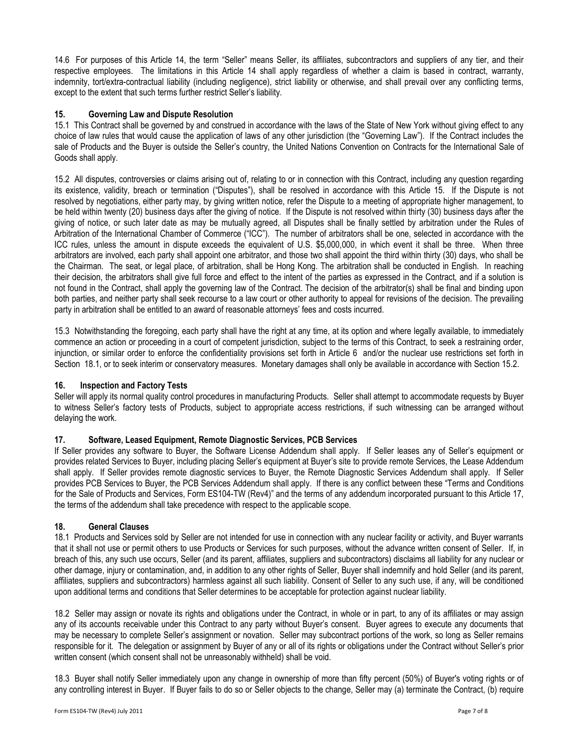14.6 For purposes of this Article 14, the term "Seller" means Seller, its affiliates, subcontractors and suppliers of any tier, and their respective employees. The limitations in this Article 14 shall apply regardless of whether a claim is based in contract, warranty, indemnity, tort/extra-contractual liability (including negligence), strict liability or otherwise, and shall prevail over any conflicting terms, except to the extent that such terms further restrict Seller's liability.

### 15. Governing Law and Dispute Resolution

15.1 This Contract shall be governed by and construed in accordance with the laws of the State of New York without giving effect to any choice of law rules that would cause the application of laws of any other jurisdiction (the "Governing Law"). If the Contract includes the sale of Products and the Buyer is outside the Seller's country, the United Nations Convention on Contracts for the International Sale of Goods shall apply.

15.2 All disputes, controversies or claims arising out of, relating to or in connection with this Contract, including any question regarding its existence, validity, breach or termination ("Disputes"), shall be resolved in accordance with this Article 15. If the Dispute is not resolved by negotiations, either party may, by giving written notice, refer the Dispute to a meeting of appropriate higher management, to be held within twenty (20) business days after the giving of notice. If the Dispute is not resolved within thirty (30) business days after the giving of notice, or such later date as may be mutually agreed, all Disputes shall be finally settled by arbitration under the Rules of Arbitration of the International Chamber of Commerce ("ICC"). The number of arbitrators shall be one, selected in accordance with the ICC rules, unless the amount in dispute exceeds the equivalent of U.S. \$5,000,000, in which event it shall be three. When three arbitrators are involved, each party shall appoint one arbitrator, and those two shall appoint the third within thirty (30) days, who shall be the Chairman. The seat, or legal place, of arbitration, shall be Hong Kong. The arbitration shall be conducted in English. In reaching their decision, the arbitrators shall give full force and effect to the intent of the parties as expressed in the Contract, and if a solution is not found in the Contract, shall apply the governing law of the Contract. The decision of the arbitrator(s) shall be final and binding upon both parties, and neither party shall seek recourse to a law court or other authority to appeal for revisions of the decision. The prevailing party in arbitration shall be entitled to an award of reasonable attorneys' fees and costs incurred.

15.3 Notwithstanding the foregoing, each party shall have the right at any time, at its option and where legally available, to immediately commence an action or proceeding in a court of competent jurisdiction, subject to the terms of this Contract, to seek a restraining order, injunction, or similar order to enforce the confidentiality provisions set forth in Article 6 and/or the nuclear use restrictions set forth in Section 18.1, or to seek interim or conservatory measures. Monetary damages shall only be available in accordance with Section 15.2.

# 16. Inspection and Factory Tests

Seller will apply its normal quality control procedures in manufacturing Products. Seller shall attempt to accommodate requests by Buyer to witness Seller's factory tests of Products, subject to appropriate access restrictions, if such witnessing can be arranged without delaying the work.

#### 17. Software, Leased Equipment, Remote Diagnostic Services, PCB Services

If Seller provides any software to Buyer, the Software License Addendum shall apply. If Seller leases any of Seller's equipment or provides related Services to Buyer, including placing Seller's equipment at Buyer's site to provide remote Services, the Lease Addendum shall apply. If Seller provides remote diagnostic services to Buyer, the Remote Diagnostic Services Addendum shall apply. If Seller provides PCB Services to Buyer, the PCB Services Addendum shall apply. If there is any conflict between these "Terms and Conditions for the Sale of Products and Services, Form ES104-TW (Rev4)" and the terms of any addendum incorporated pursuant to this Article 17, the terms of the addendum shall take precedence with respect to the applicable scope.

#### 18. General Clauses

18.1 Products and Services sold by Seller are not intended for use in connection with any nuclear facility or activity, and Buyer warrants that it shall not use or permit others to use Products or Services for such purposes, without the advance written consent of Seller. If, in breach of this, any such use occurs, Seller (and its parent, affiliates, suppliers and subcontractors) disclaims all liability for any nuclear or other damage, injury or contamination, and, in addition to any other rights of Seller, Buyer shall indemnify and hold Seller (and its parent, affiliates, suppliers and subcontractors) harmless against all such liability. Consent of Seller to any such use, if any, will be conditioned upon additional terms and conditions that Seller determines to be acceptable for protection against nuclear liability.

18.2 Seller may assign or novate its rights and obligations under the Contract, in whole or in part, to any of its affiliates or may assign any of its accounts receivable under this Contract to any party without Buyer's consent. Buyer agrees to execute any documents that may be necessary to complete Seller's assignment or novation. Seller may subcontract portions of the work, so long as Seller remains responsible for it. The delegation or assignment by Buyer of any or all of its rights or obligations under the Contract without Seller's prior written consent (which consent shall not be unreasonably withheld) shall be void.

18.3 Buyer shall notify Seller immediately upon any change in ownership of more than fifty percent (50%) of Buyer's voting rights or of any controlling interest in Buyer. If Buyer fails to do so or Seller objects to the change, Seller may (a) terminate the Contract, (b) require